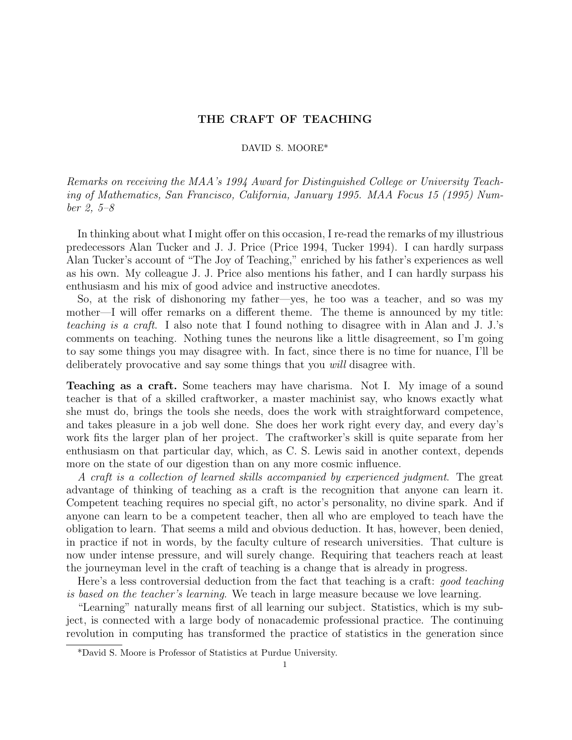# THE CRAFT OF TEACHING

# DAVID S. MOORE\*

Remarks on receiving the MAA's 1994 Award for Distinguished College or University Teaching of Mathematics, San Francisco, California, January 1995. MAA Focus 15 (1995) Number 2, 5–8

In thinking about what I might offer on this occasion, I re-read the remarks of my illustrious predecessors Alan Tucker and J. J. Price (Price 1994, Tucker 1994). I can hardly surpass Alan Tucker's account of "The Joy of Teaching," enriched by his father's experiences as well as his own. My colleague J. J. Price also mentions his father, and I can hardly surpass his enthusiasm and his mix of good advice and instructive anecdotes.

So, at the risk of dishonoring my father—yes, he too was a teacher, and so was my mother—I will offer remarks on a different theme. The theme is announced by my title: teaching is a craft. I also note that I found nothing to disagree with in Alan and J. J.'s comments on teaching. Nothing tunes the neurons like a little disagreement, so I'm going to say some things you may disagree with. In fact, since there is no time for nuance, I'll be deliberately provocative and say some things that you *will* disagree with.

Teaching as a craft. Some teachers may have charisma. Not I. My image of a sound teacher is that of a skilled craftworker, a master machinist say, who knows exactly what she must do, brings the tools she needs, does the work with straightforward competence, and takes pleasure in a job well done. She does her work right every day, and every day's work fits the larger plan of her project. The craftworker's skill is quite separate from her enthusiasm on that particular day, which, as C. S. Lewis said in another context, depends more on the state of our digestion than on any more cosmic influence.

A craft is a collection of learned skills accompanied by experienced judgment. The great advantage of thinking of teaching as a craft is the recognition that anyone can learn it. Competent teaching requires no special gift, no actor's personality, no divine spark. And if anyone can learn to be a competent teacher, then all who are employed to teach have the obligation to learn. That seems a mild and obvious deduction. It has, however, been denied, in practice if not in words, by the faculty culture of research universities. That culture is now under intense pressure, and will surely change. Requiring that teachers reach at least the journeyman level in the craft of teaching is a change that is already in progress.

Here's a less controversial deduction from the fact that teaching is a craft: good teaching is based on the teacher's learning. We teach in large measure because we love learning.

"Learning" naturally means first of all learning our subject. Statistics, which is my subject, is connected with a large body of nonacademic professional practice. The continuing revolution in computing has transformed the practice of statistics in the generation since

<sup>\*</sup>David S. Moore is Professor of Statistics at Purdue University.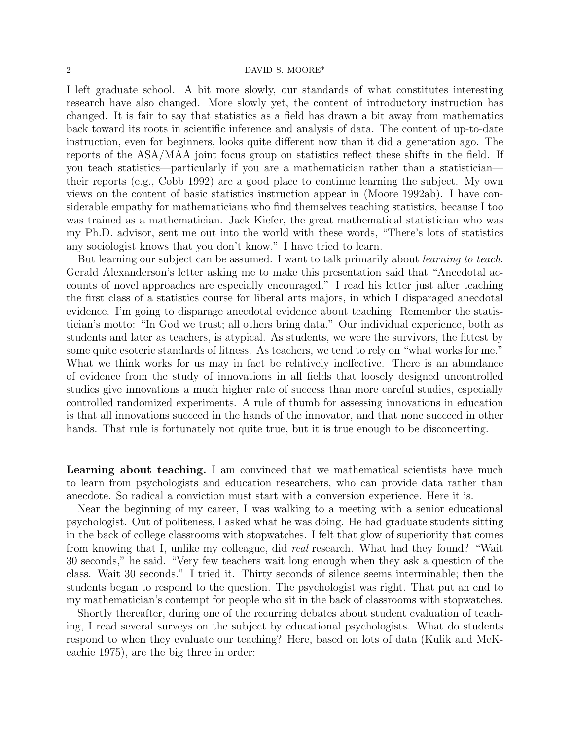#### 2 DAVID S. MOORE\*

I left graduate school. A bit more slowly, our standards of what constitutes interesting research have also changed. More slowly yet, the content of introductory instruction has changed. It is fair to say that statistics as a field has drawn a bit away from mathematics back toward its roots in scientific inference and analysis of data. The content of up-to-date instruction, even for beginners, looks quite different now than it did a generation ago. The reports of the ASA/MAA joint focus group on statistics reflect these shifts in the field. If you teach statistics—particularly if you are a mathematician rather than a statistician their reports (e.g., Cobb 1992) are a good place to continue learning the subject. My own views on the content of basic statistics instruction appear in (Moore 1992ab). I have considerable empathy for mathematicians who find themselves teaching statistics, because I too was trained as a mathematician. Jack Kiefer, the great mathematical statistician who was my Ph.D. advisor, sent me out into the world with these words, "There's lots of statistics any sociologist knows that you don't know." I have tried to learn.

But learning our subject can be assumed. I want to talk primarily about learning to teach. Gerald Alexanderson's letter asking me to make this presentation said that "Anecdotal accounts of novel approaches are especially encouraged." I read his letter just after teaching the first class of a statistics course for liberal arts majors, in which I disparaged anecdotal evidence. I'm going to disparage anecdotal evidence about teaching. Remember the statistician's motto: "In God we trust; all others bring data." Our individual experience, both as students and later as teachers, is atypical. As students, we were the survivors, the fittest by some quite esoteric standards of fitness. As teachers, we tend to rely on "what works for me." What we think works for us may in fact be relatively ineffective. There is an abundance of evidence from the study of innovations in all fields that loosely designed uncontrolled studies give innovations a much higher rate of success than more careful studies, especially controlled randomized experiments. A rule of thumb for assessing innovations in education is that all innovations succeed in the hands of the innovator, and that none succeed in other hands. That rule is fortunately not quite true, but it is true enough to be disconcerting.

Learning about teaching. I am convinced that we mathematical scientists have much to learn from psychologists and education researchers, who can provide data rather than anecdote. So radical a conviction must start with a conversion experience. Here it is.

Near the beginning of my career, I was walking to a meeting with a senior educational psychologist. Out of politeness, I asked what he was doing. He had graduate students sitting in the back of college classrooms with stopwatches. I felt that glow of superiority that comes from knowing that I, unlike my colleague, did *real* research. What had they found? "Wait 30 seconds," he said. "Very few teachers wait long enough when they ask a question of the class. Wait 30 seconds." I tried it. Thirty seconds of silence seems interminable; then the students began to respond to the question. The psychologist was right. That put an end to my mathematician's contempt for people who sit in the back of classrooms with stopwatches.

Shortly thereafter, during one of the recurring debates about student evaluation of teaching, I read several surveys on the subject by educational psychologists. What do students respond to when they evaluate our teaching? Here, based on lots of data (Kulik and McKeachie 1975), are the big three in order: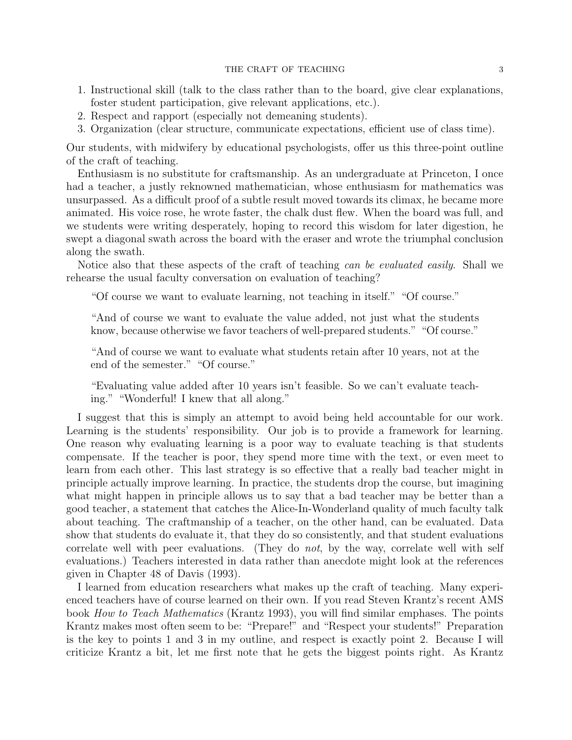## THE CRAFT OF TEACHING 3

- 1. Instructional skill (talk to the class rather than to the board, give clear explanations, foster student participation, give relevant applications, etc.).
- 2. Respect and rapport (especially not demeaning students).
- 3. Organization (clear structure, communicate expectations, efficient use of class time).

Our students, with midwifery by educational psychologists, offer us this three-point outline of the craft of teaching.

Enthusiasm is no substitute for craftsmanship. As an undergraduate at Princeton, I once had a teacher, a justly reknowned mathematician, whose enthusiasm for mathematics was unsurpassed. As a difficult proof of a subtle result moved towards its climax, he became more animated. His voice rose, he wrote faster, the chalk dust flew. When the board was full, and we students were writing desperately, hoping to record this wisdom for later digestion, he swept a diagonal swath across the board with the eraser and wrote the triumphal conclusion along the swath.

Notice also that these aspects of the craft of teaching can be evaluated easily. Shall we rehearse the usual faculty conversation on evaluation of teaching?

"Of course we want to evaluate learning, not teaching in itself." "Of course."

"And of course we want to evaluate the value added, not just what the students know, because otherwise we favor teachers of well-prepared students." "Of course."

"And of course we want to evaluate what students retain after 10 years, not at the end of the semester." "Of course."

"Evaluating value added after 10 years isn't feasible. So we can't evaluate teaching." "Wonderful! I knew that all along."

I suggest that this is simply an attempt to avoid being held accountable for our work. Learning is the students' responsibility. Our job is to provide a framework for learning. One reason why evaluating learning is a poor way to evaluate teaching is that students compensate. If the teacher is poor, they spend more time with the text, or even meet to learn from each other. This last strategy is so effective that a really bad teacher might in principle actually improve learning. In practice, the students drop the course, but imagining what might happen in principle allows us to say that a bad teacher may be better than a good teacher, a statement that catches the Alice-In-Wonderland quality of much faculty talk about teaching. The craftmanship of a teacher, on the other hand, can be evaluated. Data show that students do evaluate it, that they do so consistently, and that student evaluations correlate well with peer evaluations. (They do not, by the way, correlate well with self evaluations.) Teachers interested in data rather than anecdote might look at the references given in Chapter 48 of Davis (1993).

I learned from education researchers what makes up the craft of teaching. Many experienced teachers have of course learned on their own. If you read Steven Krantz's recent AMS book *How to Teach Mathematics* (Krantz 1993), you will find similar emphases. The points Krantz makes most often seem to be: "Prepare!" and "Respect your students!" Preparation is the key to points 1 and 3 in my outline, and respect is exactly point 2. Because I will criticize Krantz a bit, let me first note that he gets the biggest points right. As Krantz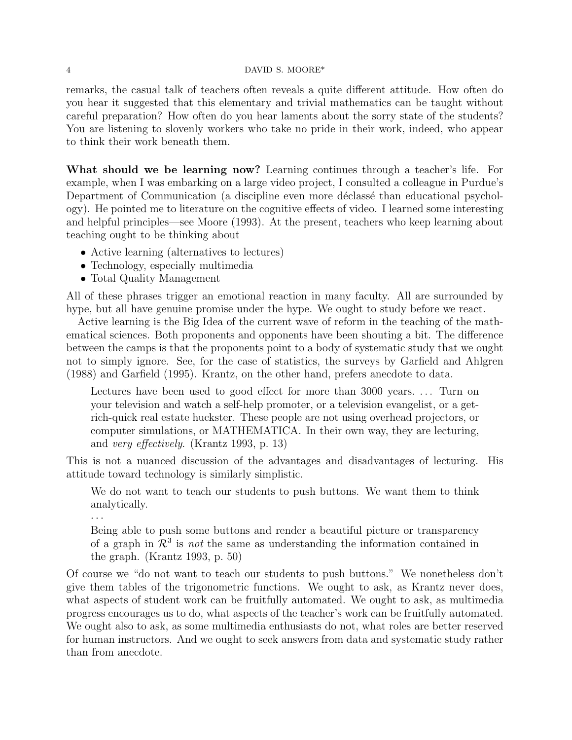## 4 DAVID S. MOORE\*

remarks, the casual talk of teachers often reveals a quite different attitude. How often do you hear it suggested that this elementary and trivial mathematics can be taught without careful preparation? How often do you hear laments about the sorry state of the students? You are listening to slovenly workers who take no pride in their work, indeed, who appear to think their work beneath them.

What should we be learning now? Learning continues through a teacher's life. For example, when I was embarking on a large video project, I consulted a colleague in Purdue's Department of Communication (a discipline even more déclassé than educational psychology). He pointed me to literature on the cognitive effects of video. I learned some interesting and helpful principles—see Moore (1993). At the present, teachers who keep learning about teaching ought to be thinking about

- Active learning (alternatives to lectures)
- Technology, especially multimedia
- Total Quality Management

All of these phrases trigger an emotional reaction in many faculty. All are surrounded by hype, but all have genuine promise under the hype. We ought to study before we react.

Active learning is the Big Idea of the current wave of reform in the teaching of the mathematical sciences. Both proponents and opponents have been shouting a bit. The difference between the camps is that the proponents point to a body of systematic study that we ought not to simply ignore. See, for the case of statistics, the surveys by Garfield and Ahlgren (1988) and Garfield (1995). Krantz, on the other hand, prefers anecdote to data.

Lectures have been used to good effect for more than 3000 years.... Turn on your television and watch a self-help promoter, or a television evangelist, or a getrich-quick real estate huckster. These people are not using overhead projectors, or computer simulations, or MATHEMATICA. In their own way, they are lecturing, and very effectively. (Krantz 1993, p. 13)

This is not a nuanced discussion of the advantages and disadvantages of lecturing. His attitude toward technology is similarly simplistic.

We do not want to teach our students to push buttons. We want them to think analytically.

· · ·

Being able to push some buttons and render a beautiful picture or transparency of a graph in  $\mathcal{R}^3$  is not the same as understanding the information contained in the graph. (Krantz 1993, p. 50)

Of course we "do not want to teach our students to push buttons." We nonetheless don't give them tables of the trigonometric functions. We ought to ask, as Krantz never does, what aspects of student work can be fruitfully automated. We ought to ask, as multimedia progress encourages us to do, what aspects of the teacher's work can be fruitfully automated. We ought also to ask, as some multimedia enthusiasts do not, what roles are better reserved for human instructors. And we ought to seek answers from data and systematic study rather than from anecdote.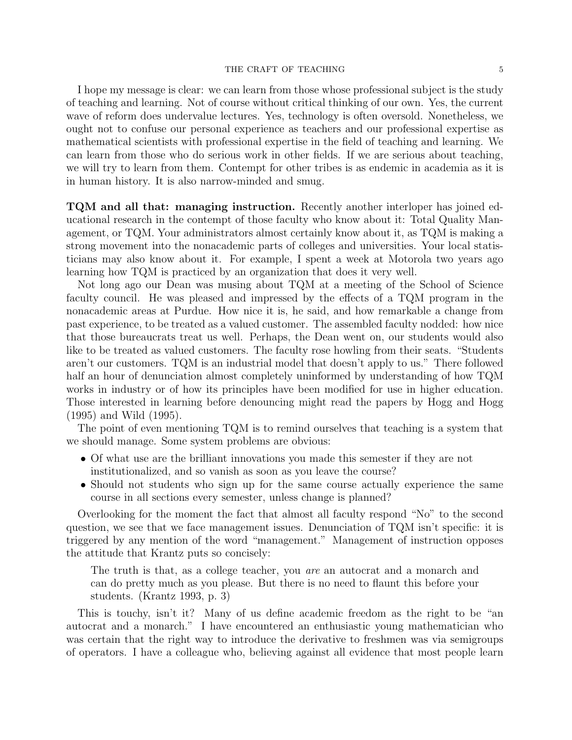#### THE CRAFT OF TEACHING 5

I hope my message is clear: we can learn from those whose professional subject is the study of teaching and learning. Not of course without critical thinking of our own. Yes, the current wave of reform does undervalue lectures. Yes, technology is often oversold. Nonetheless, we ought not to confuse our personal experience as teachers and our professional expertise as mathematical scientists with professional expertise in the field of teaching and learning. We can learn from those who do serious work in other fields. If we are serious about teaching, we will try to learn from them. Contempt for other tribes is as endemic in academia as it is in human history. It is also narrow-minded and smug.

TQM and all that: managing instruction. Recently another interloper has joined educational research in the contempt of those faculty who know about it: Total Quality Management, or TQM. Your administrators almost certainly know about it, as TQM is making a strong movement into the nonacademic parts of colleges and universities. Your local statisticians may also know about it. For example, I spent a week at Motorola two years ago learning how TQM is practiced by an organization that does it very well.

Not long ago our Dean was musing about TQM at a meeting of the School of Science faculty council. He was pleased and impressed by the effects of a TQM program in the nonacademic areas at Purdue. How nice it is, he said, and how remarkable a change from past experience, to be treated as a valued customer. The assembled faculty nodded: how nice that those bureaucrats treat us well. Perhaps, the Dean went on, our students would also like to be treated as valued customers. The faculty rose howling from their seats. "Students aren't our customers. TQM is an industrial model that doesn't apply to us." There followed half an hour of denunciation almost completely uninformed by understanding of how TQM works in industry or of how its principles have been modified for use in higher education. Those interested in learning before denouncing might read the papers by Hogg and Hogg (1995) and Wild (1995).

The point of even mentioning TQM is to remind ourselves that teaching is a system that we should manage. Some system problems are obvious:

- Of what use are the brilliant innovations you made this semester if they are not institutionalized, and so vanish as soon as you leave the course?
- Should not students who sign up for the same course actually experience the same course in all sections every semester, unless change is planned?

Overlooking for the moment the fact that almost all faculty respond "No" to the second question, we see that we face management issues. Denunciation of TQM isn't specific: it is triggered by any mention of the word "management." Management of instruction opposes the attitude that Krantz puts so concisely:

The truth is that, as a college teacher, you are an autocrat and a monarch and can do pretty much as you please. But there is no need to flaunt this before your students. (Krantz 1993, p. 3)

This is touchy, isn't it? Many of us define academic freedom as the right to be "an autocrat and a monarch." I have encountered an enthusiastic young mathematician who was certain that the right way to introduce the derivative to freshmen was via semigroups of operators. I have a colleague who, believing against all evidence that most people learn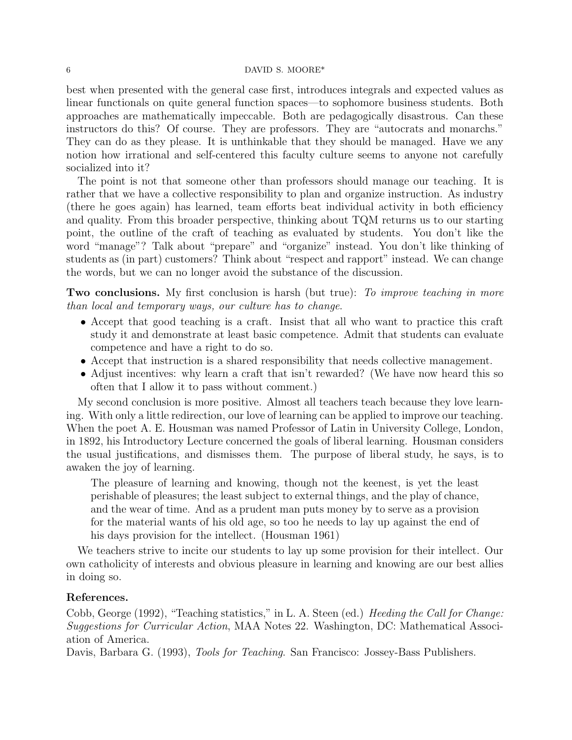## 6 DAVID S. MOORE\*

best when presented with the general case first, introduces integrals and expected values as linear functionals on quite general function spaces—to sophomore business students. Both approaches are mathematically impeccable. Both are pedagogically disastrous. Can these instructors do this? Of course. They are professors. They are "autocrats and monarchs." They can do as they please. It is unthinkable that they should be managed. Have we any notion how irrational and self-centered this faculty culture seems to anyone not carefully socialized into it?

The point is not that someone other than professors should manage our teaching. It is rather that we have a collective responsibility to plan and organize instruction. As industry (there he goes again) has learned, team efforts beat individual activity in both efficiency and quality. From this broader perspective, thinking about TQM returns us to our starting point, the outline of the craft of teaching as evaluated by students. You don't like the word "manage"? Talk about "prepare" and "organize" instead. You don't like thinking of students as (in part) customers? Think about "respect and rapport" instead. We can change the words, but we can no longer avoid the substance of the discussion.

**Two conclusions.** My first conclusion is harsh (but true): To improve teaching in more than local and temporary ways, our culture has to change.

- Accept that good teaching is a craft. Insist that all who want to practice this craft study it and demonstrate at least basic competence. Admit that students can evaluate competence and have a right to do so.
- Accept that instruction is a shared responsibility that needs collective management.
- Adjust incentives: why learn a craft that isn't rewarded? (We have now heard this so often that I allow it to pass without comment.)

My second conclusion is more positive. Almost all teachers teach because they love learning. With only a little redirection, our love of learning can be applied to improve our teaching. When the poet A. E. Housman was named Professor of Latin in University College, London, in 1892, his Introductory Lecture concerned the goals of liberal learning. Housman considers the usual justifications, and dismisses them. The purpose of liberal study, he says, is to awaken the joy of learning.

The pleasure of learning and knowing, though not the keenest, is yet the least perishable of pleasures; the least subject to external things, and the play of chance, and the wear of time. And as a prudent man puts money by to serve as a provision for the material wants of his old age, so too he needs to lay up against the end of his days provision for the intellect. (Housman 1961)

We teachers strive to incite our students to lay up some provision for their intellect. Our own catholicity of interests and obvious pleasure in learning and knowing are our best allies in doing so.

## References.

Cobb, George (1992), "Teaching statistics," in L. A. Steen (ed.) *Heeding the Call for Change:* Suggestions for Curricular Action, MAA Notes 22. Washington, DC: Mathematical Association of America.

Davis, Barbara G. (1993), Tools for Teaching. San Francisco: Jossey-Bass Publishers.